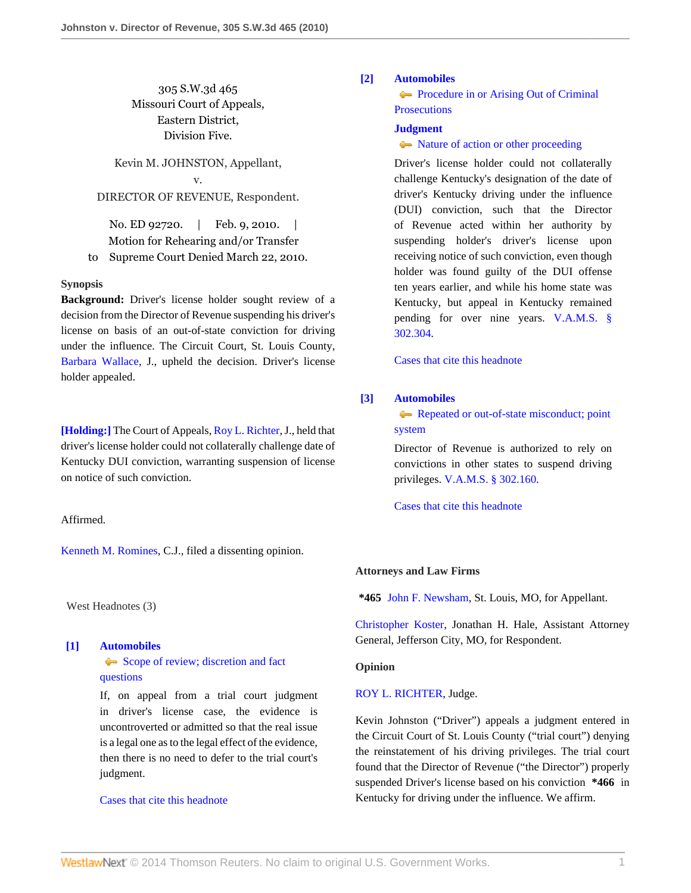# 305 S.W.3d 465 Missouri Court of Appeals, Eastern District, Division Five.

Kevin M. JOHNSTON, Appellant, v. DIRECTOR OF REVENUE, Respondent.

No. ED 92720. | Feb. 9, 2010. | Motion for Rehearing and/or Transfer to Supreme Court Denied March 22, 2010.

## **Synopsis**

**Background:** Driver's license holder sought review of a decision from the Director of Revenue suspending his driver's license on basis of an out-of-state conviction for driving under the influence. The Circuit Court, St. Louis County, [Barbara Wallace](http://www.westlaw.com/Link/Document/FullText?findType=h&pubNum=176284&cite=0142892301&originatingDoc=Ieb931034156811dfb08de1b7506ad85b&refType=RQ&originationContext=document&vr=3.0&rs=cblt1.0&transitionType=DocumentItem&contextData=(sc.Search)), J., upheld the decision. Driver's license holder appealed.

**[\[Holding:\]](#page-0-0)** The Court of Appeals, [Roy L. Richter,](http://www.westlaw.com/Link/Document/FullText?findType=h&pubNum=176284&cite=0142904001&originatingDoc=Ieb931034156811dfb08de1b7506ad85b&refType=RQ&originationContext=document&vr=3.0&rs=cblt1.0&transitionType=DocumentItem&contextData=(sc.Search)) J., held that driver's license holder could not collaterally challenge date of Kentucky DUI conviction, warranting suspension of license on notice of such conviction.

Affirmed.

[Kenneth M. Romines,](http://www.westlaw.com/Link/Document/FullText?findType=h&pubNum=176284&cite=0175222401&originatingDoc=Ieb931034156811dfb08de1b7506ad85b&refType=RQ&originationContext=document&vr=3.0&rs=cblt1.0&transitionType=DocumentItem&contextData=(sc.Search)) C.J., filed a dissenting opinion.

West Headnotes (3)

<span id="page-0-1"></span>**[\[1\]](#page-1-0) [Automobiles](http://www.westlaw.com/Browse/Home/KeyNumber/48A/View.html?docGuid=Ieb931034156811dfb08de1b7506ad85b&originationContext=document&vr=3.0&rs=cblt1.0&transitionType=DocumentItem&contextData=(sc.Search))**

[Scope of review; discretion and fact](http://www.westlaw.com/Browse/Home/KeyNumber/48Ak144.2(3)/View.html?docGuid=Ieb931034156811dfb08de1b7506ad85b&originationContext=document&vr=3.0&rs=cblt1.0&transitionType=DocumentItem&contextData=(sc.Search)) [questions](http://www.westlaw.com/Browse/Home/KeyNumber/48Ak144.2(3)/View.html?docGuid=Ieb931034156811dfb08de1b7506ad85b&originationContext=document&vr=3.0&rs=cblt1.0&transitionType=DocumentItem&contextData=(sc.Search))

If, on appeal from a trial court judgment in driver's license case, the evidence is uncontroverted or admitted so that the real issue is a legal one as to the legal effect of the evidence, then there is no need to defer to the trial court's judgment.

[Cases that cite this headnote](http://www.westlaw.com/Link/RelatedInformation/DocHeadnoteLink?docGuid=Ieb931034156811dfb08de1b7506ad85b&headnoteId=202131329900120131208081846&originationContext=document&vr=3.0&rs=cblt1.0&transitionType=CitingReferences&contextData=(sc.Search))

# <span id="page-0-0"></span>**[\[2\]](#page-1-1) [Automobiles](http://www.westlaw.com/Browse/Home/KeyNumber/48A/View.html?docGuid=Ieb931034156811dfb08de1b7506ad85b&originationContext=document&vr=3.0&rs=cblt1.0&transitionType=DocumentItem&contextData=(sc.Search))**

**[Procedure in or Arising Out of Criminal](http://www.westlaw.com/Browse/Home/KeyNumber/48Ak144.2(5)/View.html?docGuid=Ieb931034156811dfb08de1b7506ad85b&originationContext=document&vr=3.0&rs=cblt1.0&transitionType=DocumentItem&contextData=(sc.Search)) [Prosecutions](http://www.westlaw.com/Browse/Home/KeyNumber/48Ak144.2(5)/View.html?docGuid=Ieb931034156811dfb08de1b7506ad85b&originationContext=document&vr=3.0&rs=cblt1.0&transitionType=DocumentItem&contextData=(sc.Search))** 

# **[Judgment](http://www.westlaw.com/Browse/Home/KeyNumber/228/View.html?docGuid=Ieb931034156811dfb08de1b7506ad85b&originationContext=document&vr=3.0&rs=cblt1.0&transitionType=DocumentItem&contextData=(sc.Search))**

## • [Nature of action or other proceeding](http://www.westlaw.com/Browse/Home/KeyNumber/228k479/View.html?docGuid=Ieb931034156811dfb08de1b7506ad85b&originationContext=document&vr=3.0&rs=cblt1.0&transitionType=DocumentItem&contextData=(sc.Search))

Driver's license holder could not collaterally challenge Kentucky's designation of the date of driver's Kentucky driving under the influence (DUI) conviction, such that the Director of Revenue acted within her authority by suspending holder's driver's license upon receiving notice of such conviction, even though holder was found guilty of the DUI offense ten years earlier, and while his home state was Kentucky, but appeal in Kentucky remained pending for over nine years. [V.A.M.S. §](http://www.westlaw.com/Link/Document/FullText?findType=L&pubNum=1000229&cite=MOST302.304&originatingDoc=Ieb931034156811dfb08de1b7506ad85b&refType=LQ&originationContext=document&vr=3.0&rs=cblt1.0&transitionType=DocumentItem&contextData=(sc.Search)) [302.304](http://www.westlaw.com/Link/Document/FullText?findType=L&pubNum=1000229&cite=MOST302.304&originatingDoc=Ieb931034156811dfb08de1b7506ad85b&refType=LQ&originationContext=document&vr=3.0&rs=cblt1.0&transitionType=DocumentItem&contextData=(sc.Search)).

[Cases that cite this headnote](http://www.westlaw.com/Link/RelatedInformation/DocHeadnoteLink?docGuid=Ieb931034156811dfb08de1b7506ad85b&headnoteId=202131329900220131208081846&originationContext=document&vr=3.0&rs=cblt1.0&transitionType=CitingReferences&contextData=(sc.Search))

## <span id="page-0-2"></span>**[\[3\]](#page-1-2) [Automobiles](http://www.westlaw.com/Browse/Home/KeyNumber/48A/View.html?docGuid=Ieb931034156811dfb08de1b7506ad85b&originationContext=document&vr=3.0&rs=cblt1.0&transitionType=DocumentItem&contextData=(sc.Search))**

[Repeated or out-of-state misconduct; point](http://www.westlaw.com/Browse/Home/KeyNumber/48Ak144.1(3)/View.html?docGuid=Ieb931034156811dfb08de1b7506ad85b&originationContext=document&vr=3.0&rs=cblt1.0&transitionType=DocumentItem&contextData=(sc.Search)) [system](http://www.westlaw.com/Browse/Home/KeyNumber/48Ak144.1(3)/View.html?docGuid=Ieb931034156811dfb08de1b7506ad85b&originationContext=document&vr=3.0&rs=cblt1.0&transitionType=DocumentItem&contextData=(sc.Search))

Director of Revenue is authorized to rely on convictions in other states to suspend driving privileges. [V.A.M.S. § 302.160](http://www.westlaw.com/Link/Document/FullText?findType=L&pubNum=1000229&cite=MOST302.160&originatingDoc=Ieb931034156811dfb08de1b7506ad85b&refType=LQ&originationContext=document&vr=3.0&rs=cblt1.0&transitionType=DocumentItem&contextData=(sc.Search)).

[Cases that cite this headnote](http://www.westlaw.com/Link/RelatedInformation/DocHeadnoteLink?docGuid=Ieb931034156811dfb08de1b7506ad85b&headnoteId=202131329900320131208081846&originationContext=document&vr=3.0&rs=cblt1.0&transitionType=CitingReferences&contextData=(sc.Search))

## **Attorneys and Law Firms**

**\*465** [John F. Newsham](http://www.westlaw.com/Link/Document/FullText?findType=h&pubNum=176284&cite=0459575901&originatingDoc=Ieb931034156811dfb08de1b7506ad85b&refType=RQ&originationContext=document&vr=3.0&rs=cblt1.0&transitionType=DocumentItem&contextData=(sc.Search)), St. Louis, MO, for Appellant.

[Christopher Koster,](http://www.westlaw.com/Link/Document/FullText?findType=h&pubNum=176284&cite=0212894301&originatingDoc=Ieb931034156811dfb08de1b7506ad85b&refType=RQ&originationContext=document&vr=3.0&rs=cblt1.0&transitionType=DocumentItem&contextData=(sc.Search)) Jonathan H. Hale, Assistant Attorney General, Jefferson City, MO, for Respondent.

## **Opinion**

## [ROY L. RICHTER](http://www.westlaw.com/Link/Document/FullText?findType=h&pubNum=176284&cite=0142904001&originatingDoc=Ieb931034156811dfb08de1b7506ad85b&refType=RQ&originationContext=document&vr=3.0&rs=cblt1.0&transitionType=DocumentItem&contextData=(sc.Search)), Judge.

Kevin Johnston ("Driver") appeals a judgment entered in the Circuit Court of St. Louis County ("trial court") denying the reinstatement of his driving privileges. The trial court found that the Director of Revenue ("the Director") properly suspended Driver's license based on his conviction **\*466** in Kentucky for driving under the influence. We affirm.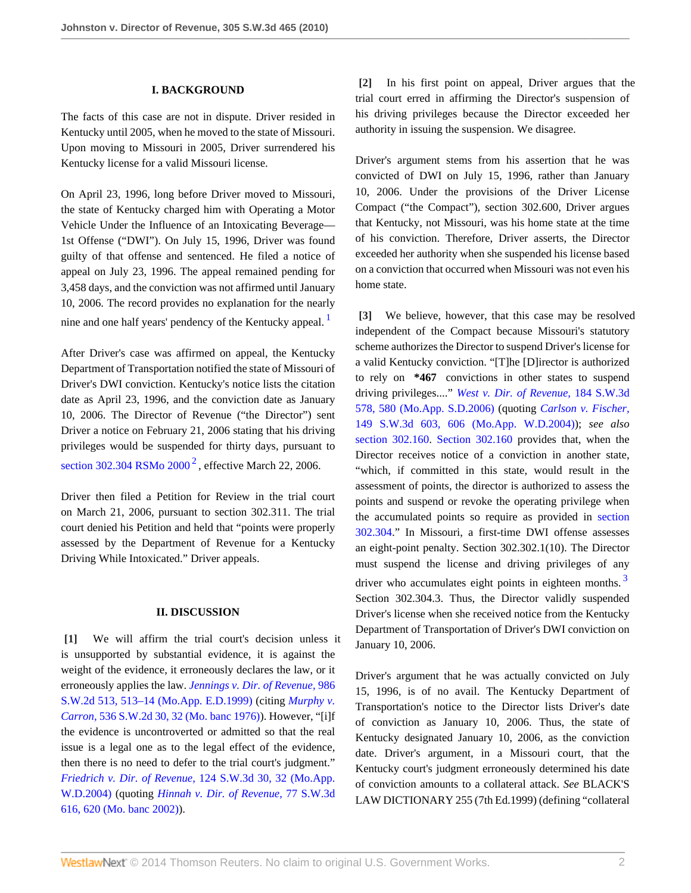#### **I. BACKGROUND**

The facts of this case are not in dispute. Driver resided in Kentucky until 2005, when he moved to the state of Missouri. Upon moving to Missouri in 2005, Driver surrendered his Kentucky license for a valid Missouri license.

On April 23, 1996, long before Driver moved to Missouri, the state of Kentucky charged him with Operating a Motor Vehicle Under the Influence of an Intoxicating Beverage— 1st Offense ("DWI"). On July 15, 1996, Driver was found guilty of that offense and sentenced. He filed a notice of appeal on July 23, 1996. The appeal remained pending for 3,458 days, and the conviction was not affirmed until January 10, 2006. The record provides no explanation for the nearly nine and one half years' pendency of the Kentucky appeal.<sup>[1](#page-3-0)</sup>

After Driver's case was affirmed on appeal, the Kentucky Department of Transportation notified the state of Missouri of Driver's DWI conviction. Kentucky's notice lists the citation date as April 23, 1996, and the conviction date as January 10, 2006. The Director of Revenue ("the Director") sent Driver a notice on February 21, 2006 stating that his driving privileges would be suspended for thirty days, pursuant to section 30[2](#page-3-1).304 RSMo  $2000^2$ , effective March 22, 2006.

<span id="page-1-4"></span>Driver then filed a Petition for Review in the trial court on March 21, 2006, pursuant to section 302.311. The trial court denied his Petition and held that "points were properly assessed by the Department of Revenue for a Kentucky Driving While Intoxicated." Driver appeals.

#### **II. DISCUSSION**

<span id="page-1-0"></span>**[\[1\]](#page-0-1)** We will affirm the trial court's decision unless it is unsupported by substantial evidence, it is against the weight of the evidence, it erroneously declares the law, or it erroneously applies the law. *[Jennings v. Dir. of Revenue,](http://www.westlaw.com/Link/Document/FullText?findType=Y&serNum=1999061825&pubNum=713&fi=co_pp_sp_713_513&originationContext=document&vr=3.0&rs=cblt1.0&transitionType=DocumentItem&contextData=(sc.Search)#co_pp_sp_713_513)* 986 [S.W.2d 513, 513–14 \(Mo.App. E.D.1999\)](http://www.westlaw.com/Link/Document/FullText?findType=Y&serNum=1999061825&pubNum=713&fi=co_pp_sp_713_513&originationContext=document&vr=3.0&rs=cblt1.0&transitionType=DocumentItem&contextData=(sc.Search)#co_pp_sp_713_513) (citing *[Murphy v.](http://www.westlaw.com/Link/Document/FullText?findType=Y&serNum=1976117479&pubNum=713&fi=co_pp_sp_713_32&originationContext=document&vr=3.0&rs=cblt1.0&transitionType=DocumentItem&contextData=(sc.Search)#co_pp_sp_713_32) Carron,* [536 S.W.2d 30, 32 \(Mo. banc 1976\)](http://www.westlaw.com/Link/Document/FullText?findType=Y&serNum=1976117479&pubNum=713&fi=co_pp_sp_713_32&originationContext=document&vr=3.0&rs=cblt1.0&transitionType=DocumentItem&contextData=(sc.Search)#co_pp_sp_713_32)). However, "[i]f the evidence is uncontroverted or admitted so that the real issue is a legal one as to the legal effect of the evidence, then there is no need to defer to the trial court's judgment." *Friedrich v. Dir. of Revenue,* [124 S.W.3d 30, 32 \(Mo.App.](http://www.westlaw.com/Link/Document/FullText?findType=Y&serNum=2004072770&pubNum=4644&fi=co_pp_sp_4644_32&originationContext=document&vr=3.0&rs=cblt1.0&transitionType=DocumentItem&contextData=(sc.Search)#co_pp_sp_4644_32) [W.D.2004\)](http://www.westlaw.com/Link/Document/FullText?findType=Y&serNum=2004072770&pubNum=4644&fi=co_pp_sp_4644_32&originationContext=document&vr=3.0&rs=cblt1.0&transitionType=DocumentItem&contextData=(sc.Search)#co_pp_sp_4644_32) (quoting *[Hinnah v. Dir. of Revenue,](http://www.westlaw.com/Link/Document/FullText?findType=Y&serNum=2002392519&pubNum=4644&fi=co_pp_sp_4644_620&originationContext=document&vr=3.0&rs=cblt1.0&transitionType=DocumentItem&contextData=(sc.Search)#co_pp_sp_4644_620)* 77 S.W.3d [616, 620 \(Mo. banc 2002\)](http://www.westlaw.com/Link/Document/FullText?findType=Y&serNum=2002392519&pubNum=4644&fi=co_pp_sp_4644_620&originationContext=document&vr=3.0&rs=cblt1.0&transitionType=DocumentItem&contextData=(sc.Search)#co_pp_sp_4644_620)).

<span id="page-1-1"></span>**[\[2\]](#page-0-0)** In his first point on appeal, Driver argues that the trial court erred in affirming the Director's suspension of his driving privileges because the Director exceeded her authority in issuing the suspension. We disagree.

Driver's argument stems from his assertion that he was convicted of DWI on July 15, 1996, rather than January 10, 2006. Under the provisions of the Driver License Compact ("the Compact"), section 302.600, Driver argues that Kentucky, not Missouri, was his home state at the time of his conviction. Therefore, Driver asserts, the Director exceeded her authority when she suspended his license based on a conviction that occurred when Missouri was not even his home state.

<span id="page-1-3"></span><span id="page-1-2"></span>**[\[3\]](#page-0-2)** We believe, however, that this case may be resolved independent of the Compact because Missouri's statutory scheme authorizes the Director to suspend Driver's license for a valid Kentucky conviction. "[T]he [D]irector is authorized to rely on **\*467** convictions in other states to suspend driving privileges...." *[West v. Dir. of Revenue,](http://www.westlaw.com/Link/Document/FullText?findType=Y&serNum=2008250763&pubNum=4644&fi=co_pp_sp_4644_580&originationContext=document&vr=3.0&rs=cblt1.0&transitionType=DocumentItem&contextData=(sc.Search)#co_pp_sp_4644_580)* 184 S.W.3d [578, 580 \(Mo.App. S.D.2006\)](http://www.westlaw.com/Link/Document/FullText?findType=Y&serNum=2008250763&pubNum=4644&fi=co_pp_sp_4644_580&originationContext=document&vr=3.0&rs=cblt1.0&transitionType=DocumentItem&contextData=(sc.Search)#co_pp_sp_4644_580) (quoting *[Carlson v. Fischer,](http://www.westlaw.com/Link/Document/FullText?findType=Y&serNum=2005603931&pubNum=4644&fi=co_pp_sp_4644_606&originationContext=document&vr=3.0&rs=cblt1.0&transitionType=DocumentItem&contextData=(sc.Search)#co_pp_sp_4644_606)* [149 S.W.3d 603, 606 \(Mo.App. W.D.2004\)](http://www.westlaw.com/Link/Document/FullText?findType=Y&serNum=2005603931&pubNum=4644&fi=co_pp_sp_4644_606&originationContext=document&vr=3.0&rs=cblt1.0&transitionType=DocumentItem&contextData=(sc.Search)#co_pp_sp_4644_606)); *see also* [section 302.160](http://www.westlaw.com/Link/Document/FullText?findType=L&pubNum=1000229&cite=MOST302.160&originatingDoc=Ieb931034156811dfb08de1b7506ad85b&refType=LQ&originationContext=document&vr=3.0&rs=cblt1.0&transitionType=DocumentItem&contextData=(sc.Search)). [Section 302.160](http://www.westlaw.com/Link/Document/FullText?findType=L&pubNum=1000229&cite=MOST302.160&originatingDoc=Ieb931034156811dfb08de1b7506ad85b&refType=LQ&originationContext=document&vr=3.0&rs=cblt1.0&transitionType=DocumentItem&contextData=(sc.Search)) provides that, when the Director receives notice of a conviction in another state, "which, if committed in this state, would result in the assessment of points, the director is authorized to assess the points and suspend or revoke the operating privilege when the accumulated points so require as provided in [section](http://www.westlaw.com/Link/Document/FullText?findType=L&pubNum=1000229&cite=MOST302.304&originatingDoc=Ieb931034156811dfb08de1b7506ad85b&refType=LQ&originationContext=document&vr=3.0&rs=cblt1.0&transitionType=DocumentItem&contextData=(sc.Search)) [302.304.](http://www.westlaw.com/Link/Document/FullText?findType=L&pubNum=1000229&cite=MOST302.304&originatingDoc=Ieb931034156811dfb08de1b7506ad85b&refType=LQ&originationContext=document&vr=3.0&rs=cblt1.0&transitionType=DocumentItem&contextData=(sc.Search))" In Missouri, a first-time DWI offense assesses an eight-point penalty. Section 302.302.1(10). The Director must suspend the license and driving privileges of any driver who accumulates eight points in eighteen months.<sup>[3](#page-3-2)</sup> Section 302.304.3. Thus, the Director validly suspended Driver's license when she received notice from the Kentucky Department of Transportation of Driver's DWI conviction on January 10, 2006.

<span id="page-1-5"></span>Driver's argument that he was actually convicted on July 15, 1996, is of no avail. The Kentucky Department of Transportation's notice to the Director lists Driver's date of conviction as January 10, 2006. Thus, the state of Kentucky designated January 10, 2006, as the conviction date. Driver's argument, in a Missouri court, that the Kentucky court's judgment erroneously determined his date of conviction amounts to a collateral attack. *See* BLACK'S LAW DICTIONARY 255 (7th Ed.1999) (defining "collateral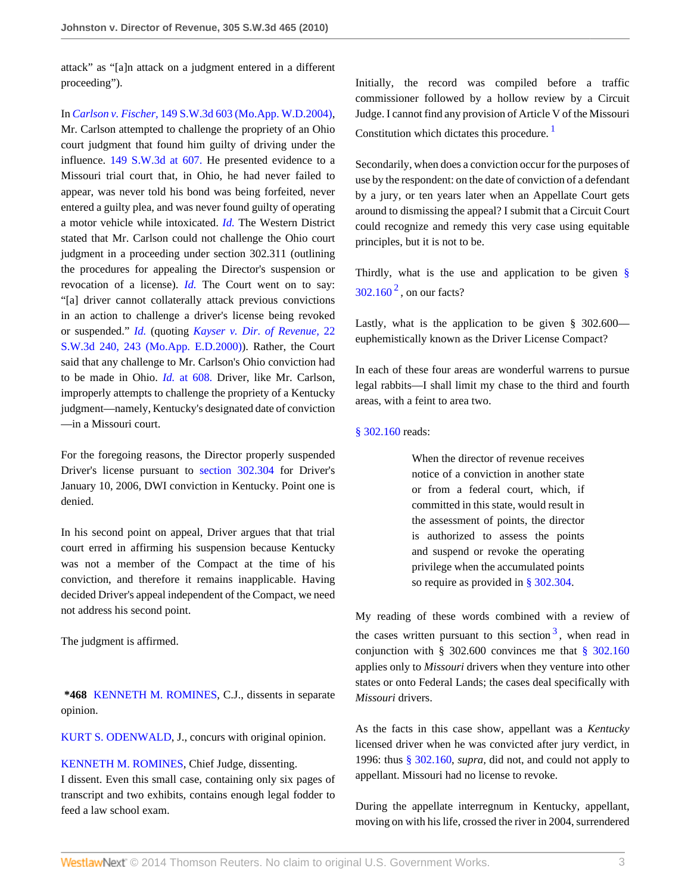attack" as "[a]n attack on a judgment entered in a different proceeding").

In *Carlson v. Fischer,* [149 S.W.3d 603 \(Mo.App. W.D.2004\)](http://www.westlaw.com/Link/Document/FullText?findType=Y&serNum=2005603931&pubNum=4644&originationContext=document&vr=3.0&rs=cblt1.0&transitionType=DocumentItem&contextData=(sc.Search)), Mr. Carlson attempted to challenge the propriety of an Ohio court judgment that found him guilty of driving under the influence. [149 S.W.3d at 607.](http://www.westlaw.com/Link/Document/FullText?findType=Y&serNum=2005603931&pubNum=4644&fi=co_pp_sp_4644_607&originationContext=document&vr=3.0&rs=cblt1.0&transitionType=DocumentItem&contextData=(sc.Search)#co_pp_sp_4644_607) He presented evidence to a Missouri trial court that, in Ohio, he had never failed to appear, was never told his bond was being forfeited, never entered a guilty plea, and was never found guilty of operating a motor vehicle while intoxicated. *[Id.](http://www.westlaw.com/Link/Document/FullText?findType=Y&serNum=2005603931&originationContext=document&vr=3.0&rs=cblt1.0&transitionType=DocumentItem&contextData=(sc.Search))* The Western District stated that Mr. Carlson could not challenge the Ohio court judgment in a proceeding under section 302.311 (outlining the procedures for appealing the Director's suspension or revocation of a license). *[Id.](http://www.westlaw.com/Link/Document/FullText?findType=Y&serNum=2005603931&originationContext=document&vr=3.0&rs=cblt1.0&transitionType=DocumentItem&contextData=(sc.Search))* The Court went on to say: "[a] driver cannot collaterally attack previous convictions in an action to challenge a driver's license being revoked or suspended." *[Id.](http://www.westlaw.com/Link/Document/FullText?findType=Y&serNum=2005603931&originationContext=document&vr=3.0&rs=cblt1.0&transitionType=DocumentItem&contextData=(sc.Search))* (quoting *[Kayser v. Dir. of Revenue,](http://www.westlaw.com/Link/Document/FullText?findType=Y&serNum=2000447463&pubNum=4644&fi=co_pp_sp_4644_243&originationContext=document&vr=3.0&rs=cblt1.0&transitionType=DocumentItem&contextData=(sc.Search)#co_pp_sp_4644_243)* 22 [S.W.3d 240, 243 \(Mo.App. E.D.2000\)](http://www.westlaw.com/Link/Document/FullText?findType=Y&serNum=2000447463&pubNum=4644&fi=co_pp_sp_4644_243&originationContext=document&vr=3.0&rs=cblt1.0&transitionType=DocumentItem&contextData=(sc.Search)#co_pp_sp_4644_243)). Rather, the Court said that any challenge to Mr. Carlson's Ohio conviction had to be made in Ohio. *Id.* [at 608.](http://www.westlaw.com/Link/Document/FullText?findType=Y&serNum=2005603931&originationContext=document&vr=3.0&rs=cblt1.0&transitionType=DocumentItem&contextData=(sc.Search)) Driver, like Mr. Carlson, improperly attempts to challenge the propriety of a Kentucky judgment—namely, Kentucky's designated date of conviction —in a Missouri court.

For the foregoing reasons, the Director properly suspended Driver's license pursuant to [section 302.304](http://www.westlaw.com/Link/Document/FullText?findType=L&pubNum=1000229&cite=MOST302.304&originatingDoc=Ieb931034156811dfb08de1b7506ad85b&refType=LQ&originationContext=document&vr=3.0&rs=cblt1.0&transitionType=DocumentItem&contextData=(sc.Search)) for Driver's January 10, 2006, DWI conviction in Kentucky. Point one is denied.

In his second point on appeal, Driver argues that that trial court erred in affirming his suspension because Kentucky was not a member of the Compact at the time of his conviction, and therefore it remains inapplicable. Having decided Driver's appeal independent of the Compact, we need not address his second point.

The judgment is affirmed.

**\*468** [KENNETH M. ROMINES](http://www.westlaw.com/Link/Document/FullText?findType=h&pubNum=176284&cite=0175222401&originatingDoc=Ieb931034156811dfb08de1b7506ad85b&refType=RQ&originationContext=document&vr=3.0&rs=cblt1.0&transitionType=DocumentItem&contextData=(sc.Search)), C.J., dissents in separate opinion.

[KURT S. ODENWALD](http://www.westlaw.com/Link/Document/FullText?findType=h&pubNum=176284&cite=0153614601&originatingDoc=Ieb931034156811dfb08de1b7506ad85b&refType=RQ&originationContext=document&vr=3.0&rs=cblt1.0&transitionType=DocumentItem&contextData=(sc.Search)), J., concurs with original opinion.

[KENNETH M. ROMINES,](http://www.westlaw.com/Link/Document/FullText?findType=h&pubNum=176284&cite=0175222401&originatingDoc=Ieb931034156811dfb08de1b7506ad85b&refType=RQ&originationContext=document&vr=3.0&rs=cblt1.0&transitionType=DocumentItem&contextData=(sc.Search)) Chief Judge, dissenting. I dissent. Even this small case, containing only six pages of transcript and two exhibits, contains enough legal fodder to feed a law school exam.

Initially, the record was compiled before a traffic commissioner followed by a hollow review by a Circuit Judge. I cannot find any provision of Article V of the Missouri Constitution which dictates this procedure.<sup>[1](#page-3-3)</sup>

<span id="page-2-0"></span>Secondarily, when does a conviction occur for the purposes of use by the respondent: on the date of conviction of a defendant by a jury, or ten years later when an Appellate Court gets around to dismissing the appeal? I submit that a Circuit Court could recognize and remedy this very case using equitable principles, but it is not to be.

<span id="page-2-1"></span>Thirdly, what is the use and application to be given  $\S$  $302.160<sup>2</sup>$  $302.160<sup>2</sup>$  $302.160<sup>2</sup>$  $302.160<sup>2</sup>$ , on our facts?

Lastly, what is the application to be given § 302.600 euphemistically known as the Driver License Compact?

In each of these four areas are wonderful warrens to pursue legal rabbits—I shall limit my chase to the third and fourth areas, with a feint to area two.

#### [§ 302.160](http://www.westlaw.com/Link/Document/FullText?findType=L&pubNum=1000229&cite=MOST302.160&originatingDoc=Ieb931034156811dfb08de1b7506ad85b&refType=LQ&originationContext=document&vr=3.0&rs=cblt1.0&transitionType=DocumentItem&contextData=(sc.Search)) reads:

When the director of revenue receives notice of a conviction in another state or from a federal court, which, if committed in this state, would result in the assessment of points, the director is authorized to assess the points and suspend or revoke the operating privilege when the accumulated points so require as provided in [§ 302.304](http://www.westlaw.com/Link/Document/FullText?findType=L&pubNum=1000229&cite=MOST302.304&originatingDoc=Ieb931034156811dfb08de1b7506ad85b&refType=LQ&originationContext=document&vr=3.0&rs=cblt1.0&transitionType=DocumentItem&contextData=(sc.Search)).

<span id="page-2-2"></span>My reading of these words combined with a review of the cases written pursuant to this section  $3$ , when read in conjunction with § 302.600 convinces me that [§ 302.160](http://www.westlaw.com/Link/Document/FullText?findType=L&pubNum=1000229&cite=MOST302.160&originatingDoc=Ieb931034156811dfb08de1b7506ad85b&refType=LQ&originationContext=document&vr=3.0&rs=cblt1.0&transitionType=DocumentItem&contextData=(sc.Search)) applies only to *Missouri* drivers when they venture into other states or onto Federal Lands; the cases deal specifically with *Missouri* drivers.

As the facts in this case show, appellant was a *Kentucky* licensed driver when he was convicted after jury verdict, in 1996: thus [§ 302.160](http://www.westlaw.com/Link/Document/FullText?findType=L&pubNum=1000229&cite=MOST302.160&originatingDoc=Ieb931034156811dfb08de1b7506ad85b&refType=LQ&originationContext=document&vr=3.0&rs=cblt1.0&transitionType=DocumentItem&contextData=(sc.Search)), *supra,* did not, and could not apply to appellant. Missouri had no license to revoke.

During the appellate interregnum in Kentucky, appellant, moving on with his life, crossed the river in 2004, surrendered